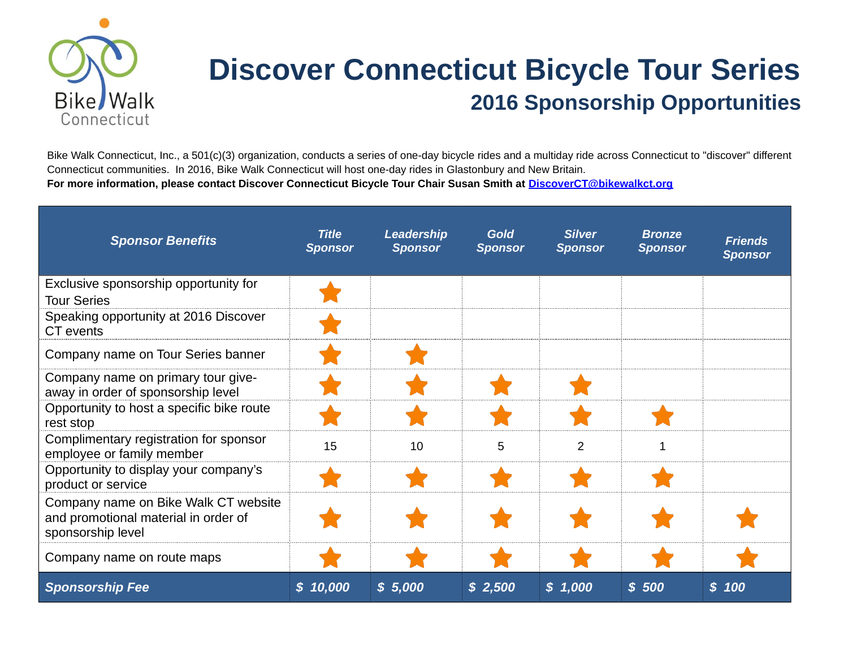

## **Discover Connecticut Bicycle Tour Series 2016 Sponsorship Opportunities**

Bike Walk Connecticut, Inc., a 501(c)(3) organization, conducts a series of one-day bicycle rides and a multiday ride across Connecticut to "discover" different Connecticut communities. In 2016, Bike Walk Connecticut will host one-day rides in Glastonbury and New Britain. **For more information, please contact Discover Connecticut Bicycle Tour Chair Susan Smith at [DiscoverCT@bikewalkct.org](mailto:DiscoverCT@bikewalkct.org)**

| <b>Sponsor Benefits</b>                                                                           | <b>Title</b><br><b>Sponsor</b> | <b>Leadership</b><br><b>Sponsor</b> | <b>Gold</b><br><b>Sponsor</b> | <b>Silver</b><br><b>Sponsor</b> | <b>Bronze</b><br><b>Sponsor</b> | <b>Friends</b><br><b>Sponsor</b> |
|---------------------------------------------------------------------------------------------------|--------------------------------|-------------------------------------|-------------------------------|---------------------------------|---------------------------------|----------------------------------|
| Exclusive sponsorship opportunity for                                                             |                                |                                     |                               |                                 |                                 |                                  |
| <b>Tour Series</b><br>Speaking opportunity at 2016 Discover<br>CT events                          |                                |                                     |                               |                                 |                                 |                                  |
| Company name on Tour Series banner                                                                |                                |                                     |                               |                                 |                                 |                                  |
| Company name on primary tour give-<br>away in order of sponsorship level                          |                                |                                     |                               |                                 |                                 |                                  |
| Opportunity to host a specific bike route<br>rest stop                                            |                                |                                     |                               |                                 |                                 |                                  |
| Complimentary registration for sponsor<br>employee or family member                               | 15                             | 10                                  | 5                             | $\mathcal{P}$                   |                                 |                                  |
| Opportunity to display your company's<br>product or service                                       |                                |                                     |                               |                                 |                                 |                                  |
| Company name on Bike Walk CT website<br>and promotional material in order of<br>sponsorship level |                                |                                     |                               |                                 |                                 |                                  |
| Company name on route maps                                                                        |                                |                                     |                               |                                 |                                 |                                  |
| <b>Sponsorship Fee</b>                                                                            | \$10,000                       | \$5,000                             | \$2,500                       | \$1,000                         | \$500                           | \$100                            |